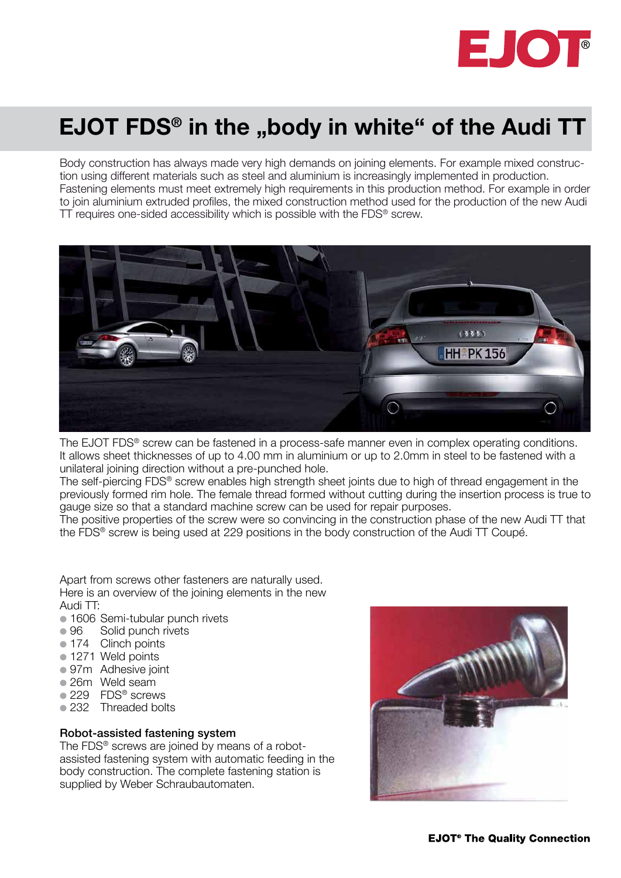

## EJOT FDS<sup>®</sup> in the "body in white" of the Audi TT

Body construction has always made very high demands on joining elements. For example mixed construction using different materials such as steel and aluminium is increasingly implemented in production. Fastening elements must meet extremely high requirements in this production method. For example in order to join aluminium extruded profiles, the mixed construction method used for the production of the new Audi TT requires one-sided accessibility which is possible with the FDS® screw.



The EJOT FDS® screw can be fastened in a process-safe manner even in complex operating conditions. It allows sheet thicknesses of up to 4.00 mm in aluminium or up to 2.0mm in steel to be fastened with a unilateral joining direction without a pre-punched hole.

The self-piercing FDS® screw enables high strength sheet joints due to high of thread engagement in the previously formed rim hole. The female thread formed without cutting during the insertion process is true to gauge size so that a standard machine screw can be used for repair purposes.

The positive properties of the screw were so convincing in the construction phase of the new Audi TT that the FDS® screw is being used at 229 positions in the body construction of the Audi TT Coupé.

Apart from screws other fasteners are naturally used. Here is an overview of the joining elements in the new Audi TT:

- **1606 Semi-tubular punch rivets**
- 96 Solid punch rivets
- 174 Clinch points
- **1271 Weld points**
- 97m Adhesive joint
- l 26m Weld seam
- 229 FDS<sup>®</sup> screws
- 232 Threaded bolts

## Robot-assisted fastening system

The FDS<sup>®</sup> screws are joined by means of a robotassisted fastening system with automatic feeding in the body construction. The complete fastening station is supplied by Weber Schraubautomaten.